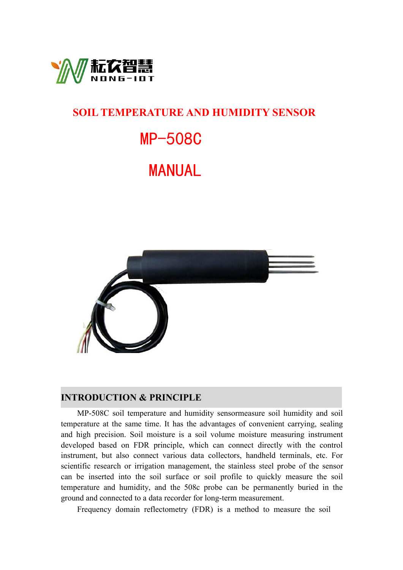

## **SOIL TEMPERATURE AND HUMIDITY SENSOR**

# MP-508C

# MANUAL



#### **INTRODUCTION & PRINCIPLE**

MP-508C soil temperature and humidity sensormeasure soil humidity and soil temperature at the same time. It has the advantages of convenient carrying, sealing and high precision. Soil moisture is a soil volume moisture measuring instrument developed based on FDR principle, which can connect directly with the control instrument, but also connect various data collectors, handheld terminals, etc. For scientific research or irrigation management, the stainless steel probe of the sensor can be inserted into the soil surface or soil profile to quickly measure the soil temperature and humidity, and the 508c probe can be permanently buried in the ground and connected to a data recorder for long-term measurement.

Frequency domain reflectometry (FDR) is a method to measure the soil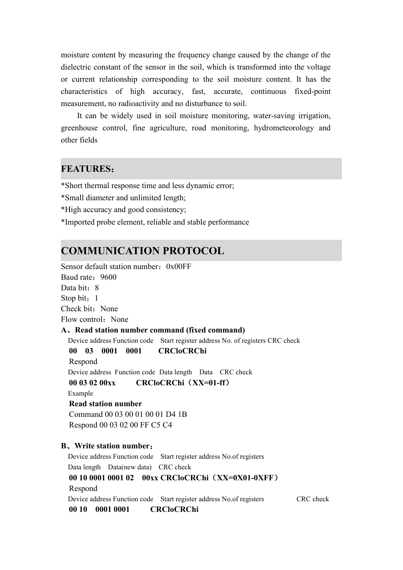moisture content by measuring the frequency change caused by the change of the dielectric constant of the sensor in the soil, which is transformed into the voltage or current relationship corresponding to the soil moisture content. It has the characteristics of high accuracy, fast, accurate, continuous fixed-point measurement, no radioactivity and no disturbance to soil.

It can be widely used in soil moisture monitoring, water-saving irrigation, greenhouse control, fine agriculture, road monitoring, hydrometeorology and other fields

#### **FEATURES**:

\*Short thermal response time and less dynamic error;

\*Small diameter and unlimited length;

\*High accuracy and good consistency;

\*Imported probe element,reliable and stable performance

### **COMMUNICATION PROTOCOL**

Sensor default station number:  $0x00FF$ Baud rate: 9600 Data bit: 8 Stop bit: 1 Check bit: None Flow control: None **A**、**Read station number command (fixed command)** Device address Function code Start register address No. of registers CRC check **00 03 0001 0001 CRCloCRChi** Respond Device address Function code Data length Data CRC check **00 03 02 00xx CRCloCRChi**(**XX=01-ff**) Example **Read station number** Command 00 03 00 01 00 01 D4 1B Respond 00 03 02 00 FF C5 C4 **B**、**Write station number**: Device address Function code Start register address No.of registers Data length Data(new data) CRC check **00 10 0001 0001 02 00xx CRCloCRChi**(**XX=0X01-0XFF**) Respond Device address Function code Start register address No.of registers CRC check **00 10 0001 0001 CRCloCRChi**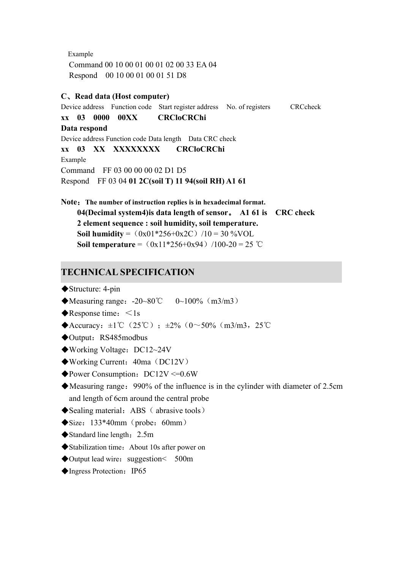```
Example
  Command 00 10 00 01 00 01 02 00 33 EA 04
  Respond 00 10 00 01 00 01 51 D8
C、Read data (Host computer)
Device address Function code Start register address No. of registers CRCcheck
xx 03 0000 00XX CRCloCRChi
Data respond
Device address Function code Data length Data CRC check
xx 03 XX XXXXXXXX CRCloCRChi
Example
Command FF 03 00 00 00 02 D1 D5
Respond FF 03 04 01 2C(soil T) 11 94(soil RH) A1 61
```
**Note**:**The number of instruction replies is in hexadecimal format. 04(Decimal system4)is data length of sensor**。 **A1 61 is CRC check 2 element sequence : soil humidity, soil temperature. Soil humidity** =  $(0x01*256+0x2C)$  /10 = 30 %VOL **Soil temperature** =  $(0x11*256+0x94)$  /100-20 = 25 ℃

#### **TECHNICAL SPECIFICATION**

- ◆Structure: 4-pin
- $\blacklozenge$ Measuring range: -20~80°C 0~100% (m3/m3)
- $\blacklozenge$ Response time:  $\lt 1$ s
- ◆Accuracy:  $\pm 1^{\circ}$  (25°C);  $\pm 2\%$  (0~50% (m3/m3, 25°C)
- ◆Output: RS485modbus
- ◆Working Voltage: DC12~24V
- ◆Working Current: 40ma (DC12V)
- $\blacklozenge$  Power Consumption: DC12V <= 0.6W
- ◆Measuring range: 990% of the influence is in the cylinder with diameter of 2.5cm and length of 6cm around the central probe
- ◆Sealing material: ABS (abrasive tools)
- $\blacklozenge$  Size: 133\*40mm (probe: 60mm)
- ◆ Standard line length: 2.5m
- ◆Stabilization time: About 10s after power on
- $\blacklozenge$  Output lead wire: suggestion  $\lt$  500m
- ◆Ingress Protection: IP65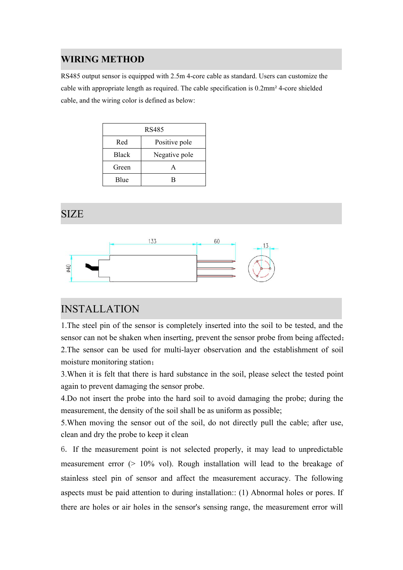#### **WIRING METHOD**

RS485 output sensor is equipped with 2.5m 4-core cable asstandard. Users can customize the cable with appropriate length as required. The cable specification is 0.2mm² 4-core shielded cable, and the wiring color is defined as below:

| RS485        |               |
|--------------|---------------|
| Red          | Positive pole |
| <b>Black</b> | Negative pole |
| Green        |               |
| Blue         |               |

## SIZE



## INSTALLATION

1.The steel pin of the sensor is completely inserted into the soil to be tested, and the sensor can not be shaken when inserting, prevent the sensor probe from being affected; 2.The sensor can be used for multi-layer observation and the establishment of soil moisture monitoring station;

3.When it is felt that there is hard substance in the soil, please select the tested point again to prevent damaging the sensor probe.

4.Do not insert the probe into the hard soil to avoid damaging the probe; during the measurement, the density of the soil shall be as uniform as possible;

5.When moving the sensor out of the soil, do not directly pull the cable; after use, clean and dry the probe to keep it clean

6. If the measurement point is not selected properly, it may lead to unpredictable measurement error (> 10% vol). Rough installation will lead to the breakage of stainless steel pin of sensor and affect the measurement accuracy. The following aspects must be paid attention to during installation:: (1) Abnormal holes or pores. If there are holes or air holes in the sensor's sensing range, the measurement error will